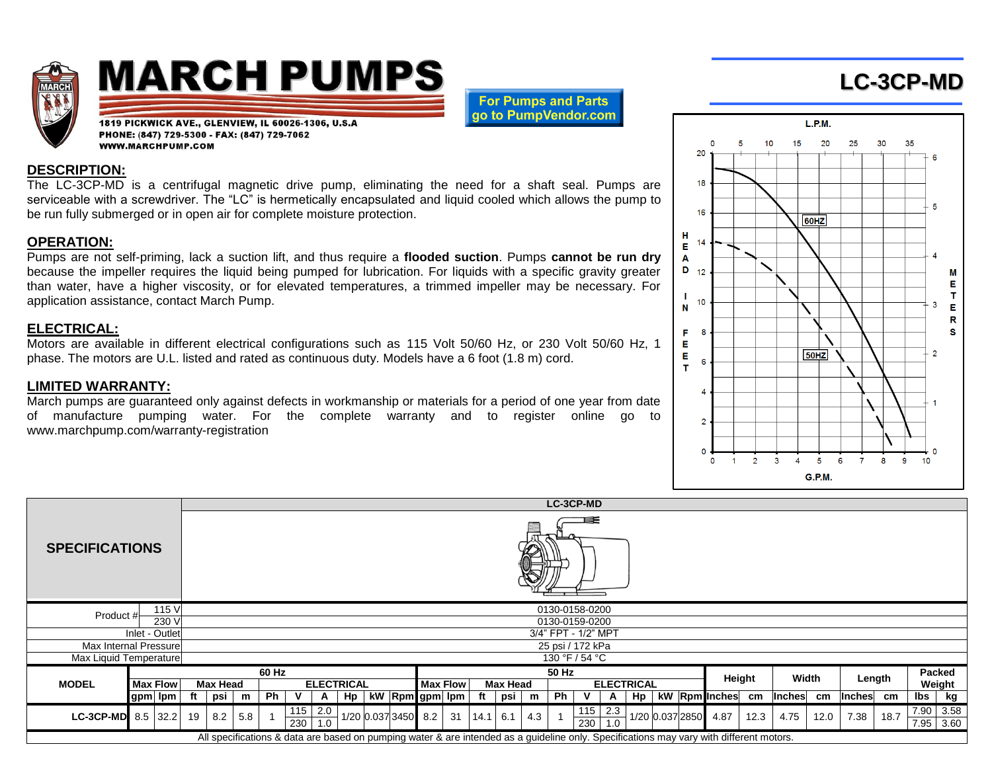

# **MARCH PUMPS**

1819 PICKWICK AVE., GLENVIEW, IL 60026-1306, U.S.A

PHONE: (847) 729-5300 - FAX: (847) 729-7062

WWW.MARCHPUMP.COM

**For Pumps and Parts** ao to PumpVendor.com

### **DESCRIPTION:**

The LC-3CP-MD is a centrifugal magnetic drive pump, eliminating the need for a shaft seal. Pumps are serviceable with a screwdriver. The "LC" is hermetically encapsulated and liquid cooled which allows the pump to be run fully submerged or in open air for complete moisture protection.

### **OPERATION:**

Pumps are not self-priming, lack a suction lift, and thus require a **flooded suction**. Pumps **cannot be run dry** because the impeller requires the liquid being pumped for lubrication. For liquids with a specific gravity greater than water, have a higher viscosity, or for elevated temperatures, a trimmed impeller may be necessary. For application assistance, contact March Pump.

### **ELECTRICAL:**

Motors are available in different electrical configurations such as 115 Volt 50/60 Hz, or 230 Volt 50/60 Hz, 1 phase. The motors are U.L. listed and rated as continuous duty. Models have a 6 foot (1.8 m) cord.

## **LIMITED WARRANTY:**

March pumps are guaranteed only against defects in workmanship or materials for a period of one year from date of manufacture pumping water. For the complete warranty and to register online go to www.marchpump.com/warranty-registration



**LC-3CP-MD**

|                        |  |                 |                     |                |     |                   |     |                  |    |                     |                 |  |          |      |             |                   | LU-JUF-IVID |            |            |        |                 |       |                                                                                                                                         |        |               |        |               |      |        |                          |
|------------------------|--|-----------------|---------------------|----------------|-----|-------------------|-----|------------------|----|---------------------|-----------------|--|----------|------|-------------|-------------------|-------------|------------|------------|--------|-----------------|-------|-----------------------------------------------------------------------------------------------------------------------------------------|--------|---------------|--------|---------------|------|--------|--------------------------|
| <b>SPECIFICATIONS</b>  |  |                 |                     |                |     |                   |     |                  |    |                     |                 |  |          |      |             |                   |             |            |            |        |                 |       |                                                                                                                                         |        |               |        |               |      |        |                          |
| Product #              |  | 115 V           |                     | 0130-0158-0200 |     |                   |     |                  |    |                     |                 |  |          |      |             |                   |             |            |            |        |                 |       |                                                                                                                                         |        |               |        |               |      |        |                          |
|                        |  | 230 V           | 0130-0159-0200      |                |     |                   |     |                  |    |                     |                 |  |          |      |             |                   |             |            |            |        |                 |       |                                                                                                                                         |        |               |        |               |      |        |                          |
| Inlet - Outlet         |  |                 | 3/4" FPT - 1/2" MPT |                |     |                   |     |                  |    |                     |                 |  |          |      |             |                   |             |            |            |        |                 |       |                                                                                                                                         |        |               |        |               |      |        |                          |
|                        |  |                 | 25 psi / 172 kPa    |                |     |                   |     |                  |    |                     |                 |  |          |      |             |                   |             |            |            |        |                 |       |                                                                                                                                         |        |               |        |               |      |        |                          |
| Max Internal Pressure  |  |                 | 130 °F / 54 °C      |                |     |                   |     |                  |    |                     |                 |  |          |      |             |                   |             |            |            |        |                 |       |                                                                                                                                         |        |               |        |               |      |        |                          |
| Max Liquid Temperature |  |                 |                     |                |     |                   |     |                  |    |                     |                 |  |          |      |             |                   |             |            |            |        |                 |       |                                                                                                                                         |        |               |        |               |      |        |                          |
|                        |  |                 |                     |                |     | 60 Hz             |     |                  |    |                     |                 |  |          |      |             |                   | 50 Hz       |            |            |        |                 |       |                                                                                                                                         |        |               |        |               |      | Packed |                          |
| <b>MODEL</b>           |  | <b>Max Flow</b> | Max Head            |                |     | <b>ELECTRICAL</b> |     |                  |    |                     | <b>Max Flow</b> |  | Max Head |      |             | <b>ELECTRICAL</b> |             |            |            | Height |                 | Width |                                                                                                                                         | Length |               | Weight |               |      |        |                          |
|                        |  | Igpm Ipm        | ft                  | psi            | m   | <b>Ph</b>         |     | A                | Hp | kW Rpm gpm Ipm      |                 |  |          |      | psi         | m                 | Ph          |            |            | Hp     |                 |       | kW Rpm Inches                                                                                                                           | cm     | <b>Inches</b> | cm     | <b>Inches</b> | cm   | lbs    | kg                       |
| LC-3CP-MD $8.5$ 32.2   |  |                 | 19                  | 8.2            | 5.8 |                   | 115 | 2.0<br>$230$ 1.0 |    | 1/20 0.037 3450 8.2 |                 |  | 31       | 14.1 | $\vert$ 6.1 | 4.3               |             | 115<br>230 | 2.3<br>1.0 |        | 1/20 0.037 2850 |       | 4.87                                                                                                                                    | 12.3   | 4.75          | 12.0   | 7.38          | 18.7 |        | 7.90 3.58<br>$7.95$ 3.60 |
|                        |  |                 |                     |                |     |                   |     |                  |    |                     |                 |  |          |      |             |                   |             |            |            |        |                 |       | All specifications & data are based on pumping water & are intended as a guideline only. Specifications may vary with different motors. |        |               |        |               |      |        |                          |

**LC-3CP-MD**